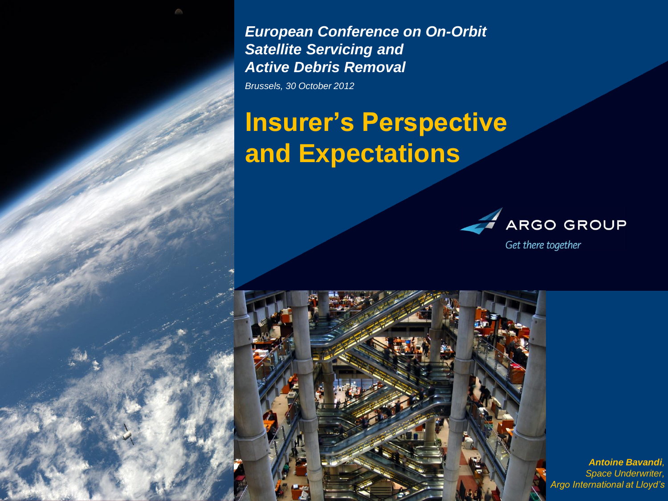*European Conference on On-Orbit Satellite Servicing and Active Debris Removal Brussels, 30 October 2012*

# **Insurer's Perspective and Expectations**



Get there together



*Antoine Bavandi, Space Underwriter, Argo International at Lloyd's*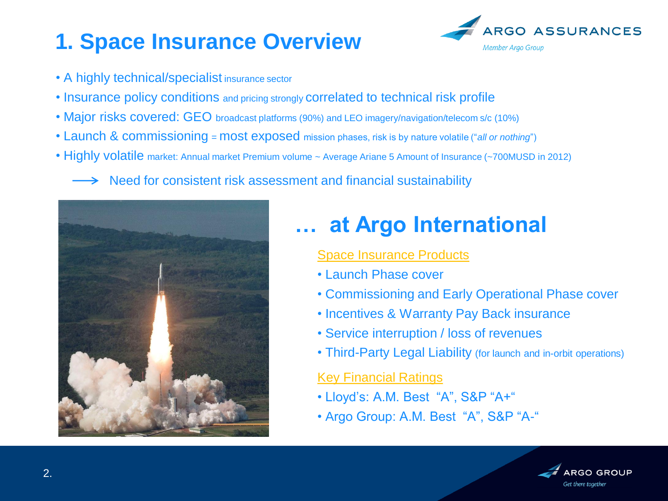## **1. Space Insurance Overview**

- A highly technical/specialist insurance sector
- Insurance policy conditions and pricing strongly correlated to technical risk profile
- Major risks covered: GEO broadcast platforms (90%) and LEO imagery/navigation/telecom s/c (10%)
- Launch & commissioning = most exposed mission phases, risk is by nature volatile ("*all or nothing*")
- Highly volatile market: Annual market Premium volume ~ Average Ariane 5 Amount of Insurance (~700MUSD in 2012)

Need for consistent risk assessment and financial sustainability



### **… at Argo International**

#### Space Insurance Products

- Launch Phase cover
- Commissioning and Early Operational Phase cover
- Incentives & Warranty Pay Back insurance
- Service interruption / loss of revenues
- Third-Party Legal Liability (for launch and in-orbit operations)

#### Key Financial Ratings

- Lloyd's: A.M. Best "A", S&P "A+"
- Argo Group: A.M. Best "A", S&P "A-"



RGO ASSURANCES

Member Argo Group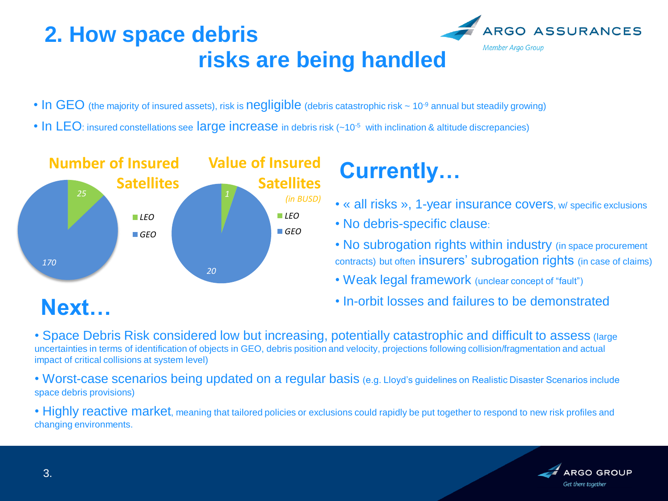### **2. How space debris risks are being handled**



- In GEO (the majority of insured assets), risk is negligible (debris catastrophic risk  $\sim 10^{-9}$  annual but steadily growing)
- In LEO: insured constellations see large increase in debris risk (~10<sup>-5</sup> with inclination & altitude discrepancies)



## **Currently…**

- « all risks », 1-year insurance covers, w/ specific exclusions
- No debris-specific clause:
- No subrogation rights within industry (in space procurement contracts) but often insurers' subrogation rights (in case of claims)
- Weak legal framework (unclear concept of "fault")
- In-orbit losses and failures to be demonstrated

• Space Debris Risk considered low but increasing, potentially catastrophic and difficult to assess (large uncertainties in terms of identification of objects in GEO, debris position and velocity, projections following collision/fragmentation and actual impact of critical collisions at system level)

• Worst-case scenarios being updated on a regular basis (e.g. Lloyd's guidelines on Realistic Disaster Scenarios include space debris provisions)

• Highly reactive market, meaning that tailored policies or exclusions could rapidly be put together to respond to new risk profiles and changing environments.

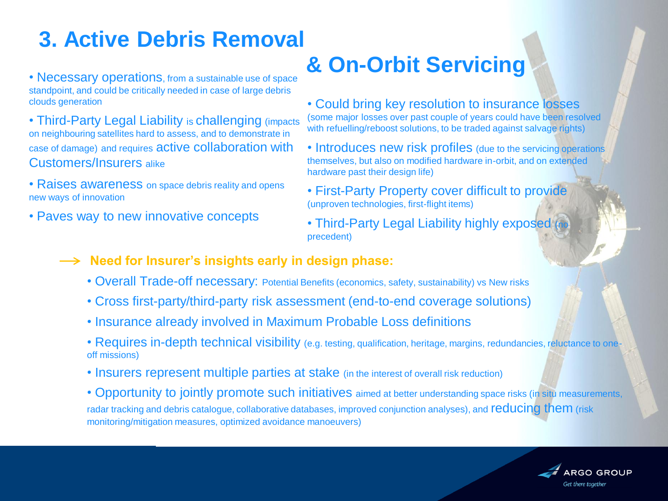## **3. Active Debris Removal**

standpoint, and could be critically needed in case of large debris clouds generation

• Third-Party Legal Liability is challenging (impacts) on neighbouring satellites hard to assess, and to demonstrate in case of damage) and requires active collaboration with Customers/Insurers alike

- Raises awareness on space debris reality and opens new ways of innovation
- Paves way to new innovative concepts

# • Necessary operations, from a sustainable use of space **& On-Orbit Servicing**

• Could bring key resolution to insurance losses (some major losses over past couple of years could have been resolved with refuelling/reboost solutions, to be traded against salvage rights)

- Introduces new risk profiles (due to the servicing operations) themselves, but also on modified hardware in-orbit, and on extended hardware past their design life)
- First-Party Property cover difficult to provide (unproven technologies, first-flight items)
- Third-Party Legal Liability highly exposed (no precedent)
- **-> Need for Insurer's insights early in design phase:** 
	- Overall Trade-off necessary: Potential Benefits (economics, safety, sustainability) vs New risks
	- Cross first-party/third-party risk assessment (end-to-end coverage solutions)
	- Insurance already involved in Maximum Probable Loss definitions
	- Requires in-depth technical visibility (e.g. testing, qualification, heritage, margins, redundancies, reluctance to oneoff missions)
	- Insurers represent multiple parties at stake (in the interest of overall risk reduction)

• Opportunity to jointly promote such initiatives aimed at better understanding space risks (in situ measurements, radar tracking and debris catalogue, collaborative databases, improved conjunction analyses), and reducing them (risk monitoring/mitigation measures, optimized avoidance manoeuvers)